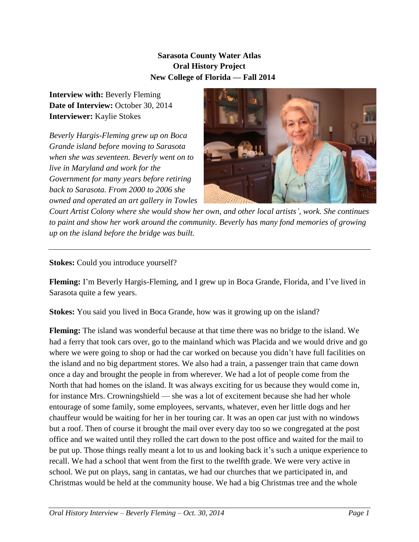## **Sarasota County Water Atlas Oral History Project New College of Florida — Fall 2014**

**Interview with:** Beverly Fleming Date of Interview: October 30, 2014 **Interviewer:** Kaylie Stokes

*Beverly Hargis-Fleming grew up on Boca Grande island before moving to Sarasota when she was seventeen. Beverly went on to live in Maryland and work for the Government for many years before retiring back to Sarasota. From 2000 to 2006 she owned and operated an art gallery in Towles* 



*Court Artist Colony where she would show her own, and other local artists', work. She continues to paint and show her work around the community. Beverly has many fond memories of growing up on the island before the bridge was built.*

**Stokes:** Could you introduce yourself?

**Fleming:** I'm Beverly Hargis-Fleming, and I grew up in Boca Grande, Florida, and I've lived in Sarasota quite a few years.

**Stokes:** You said you lived in Boca Grande, how was it growing up on the island?

**Fleming:** The island was wonderful because at that time there was no bridge to the island. We had a ferry that took cars over, go to the mainland which was Placida and we would drive and go where we were going to shop or had the car worked on because you didn't have full facilities on the island and no big department stores. We also had a train, a passenger train that came down once a day and brought the people in from wherever. We had a lot of people come from the North that had homes on the island. It was always exciting for us because they would come in, for instance Mrs. Crowningshield — she was a lot of excitement because she had her whole entourage of some family, some employees, servants, whatever, even her little dogs and her chauffeur would be waiting for her in her touring car. It was an open car just with no windows but a roof. Then of course it brought the mail over every day too so we congregated at the post office and we waited until they rolled the cart down to the post office and waited for the mail to be put up. Those things really meant a lot to us and looking back it's such a unique experience to recall. We had a school that went from the first to the twelfth grade. We were very active in school. We put on plays, sang in cantatas, we had our churches that we participated in, and Christmas would be held at the community house. We had a big Christmas tree and the whole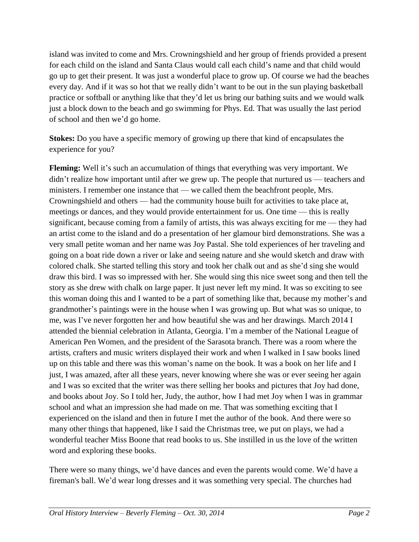island was invited to come and Mrs. Crowningshield and her group of friends provided a present for each child on the island and Santa Claus would call each child's name and that child would go up to get their present. It was just a wonderful place to grow up. Of course we had the beaches every day. And if it was so hot that we really didn't want to be out in the sun playing basketball practice or softball or anything like that they'd let us bring our bathing suits and we would walk just a block down to the beach and go swimming for Phys. Ed. That was usually the last period of school and then we'd go home.

**Stokes:** Do you have a specific memory of growing up there that kind of encapsulates the experience for you?

**Fleming:** Well it's such an accumulation of things that everything was very important. We didn't realize how important until after we grew up. The people that nurtured us — teachers and ministers. I remember one instance that — we called them the beachfront people, Mrs. Crowningshield and others — had the community house built for activities to take place at, meetings or dances, and they would provide entertainment for us. One time — this is really significant, because coming from a family of artists, this was always exciting for me — they had an artist come to the island and do a presentation of her glamour bird demonstrations. She was a very small petite woman and her name was Joy Pastal. She told experiences of her traveling and going on a boat ride down a river or lake and seeing nature and she would sketch and draw with colored chalk. She started telling this story and took her chalk out and as she'd sing she would draw this bird. I was so impressed with her. She would sing this nice sweet song and then tell the story as she drew with chalk on large paper. It just never left my mind. It was so exciting to see this woman doing this and I wanted to be a part of something like that, because my mother's and grandmother's paintings were in the house when I was growing up. But what was so unique, to me, was I've never forgotten her and how beautiful she was and her drawings. March 2014 I attended the biennial celebration in Atlanta, Georgia. I'm a member of the National League of American Pen Women, and the president of the Sarasota branch. There was a room where the artists, crafters and music writers displayed their work and when I walked in I saw books lined up on this table and there was this woman's name on the book. It was a book on her life and I just, I was amazed, after all these years, never knowing where she was or ever seeing her again and I was so excited that the writer was there selling her books and pictures that Joy had done, and books about Joy. So I told her, Judy, the author, how I had met Joy when I was in grammar school and what an impression she had made on me. That was something exciting that I experienced on the island and then in future I met the author of the book. And there were so many other things that happened, like I said the Christmas tree, we put on plays, we had a wonderful teacher Miss Boone that read books to us. She instilled in us the love of the written word and exploring these books.

There were so many things, we'd have dances and even the parents would come. We'd have a fireman's ball. We'd wear long dresses and it was something very special. The churches had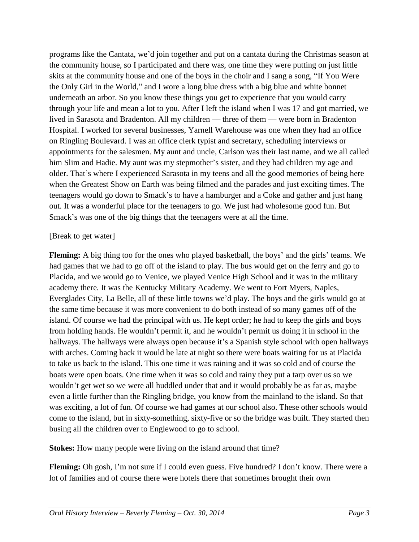programs like the Cantata, we'd join together and put on a cantata during the Christmas season at the community house, so I participated and there was, one time they were putting on just little skits at the community house and one of the boys in the choir and I sang a song, "If You Were the Only Girl in the World," and I wore a long blue dress with a big blue and white bonnet underneath an arbor. So you know these things you get to experience that you would carry through your life and mean a lot to you. After I left the island when I was 17 and got married, we lived in Sarasota and Bradenton. All my children — three of them — were born in Bradenton Hospital. I worked for several businesses, Yarnell Warehouse was one when they had an office on Ringling Boulevard. I was an office clerk typist and secretary, scheduling interviews or appointments for the salesmen. My aunt and uncle, Carlson was their last name, and we all called him Slim and Hadie. My aunt was my stepmother's sister, and they had children my age and older. That's where I experienced Sarasota in my teens and all the good memories of being here when the Greatest Show on Earth was being filmed and the parades and just exciting times. The teenagers would go down to Smack's to have a hamburger and a Coke and gather and just hang out. It was a wonderful place for the teenagers to go. We just had wholesome good fun. But Smack's was one of the big things that the teenagers were at all the time.

## [Break to get water]

**Fleming:** A big thing too for the ones who played basketball, the boys' and the girls' teams. We had games that we had to go off of the island to play. The bus would get on the ferry and go to Placida, and we would go to Venice, we played Venice High School and it was in the military academy there. It was the Kentucky Military Academy. We went to Fort Myers, Naples, Everglades City, La Belle, all of these little towns we'd play. The boys and the girls would go at the same time because it was more convenient to do both instead of so many games off of the island. Of course we had the principal with us. He kept order; he had to keep the girls and boys from holding hands. He wouldn't permit it, and he wouldn't permit us doing it in school in the hallways. The hallways were always open because it's a Spanish style school with open hallways with arches. Coming back it would be late at night so there were boats waiting for us at Placida to take us back to the island. This one time it was raining and it was so cold and of course the boats were open boats. One time when it was so cold and rainy they put a tarp over us so we wouldn't get wet so we were all huddled under that and it would probably be as far as, maybe even a little further than the Ringling bridge, you know from the mainland to the island. So that was exciting, a lot of fun. Of course we had games at our school also. These other schools would come to the island, but in sixty-something, sixty-five or so the bridge was built. They started then busing all the children over to Englewood to go to school.

**Stokes:** How many people were living on the island around that time?

**Fleming:** Oh gosh, I'm not sure if I could even guess. Five hundred? I don't know. There were a lot of families and of course there were hotels there that sometimes brought their own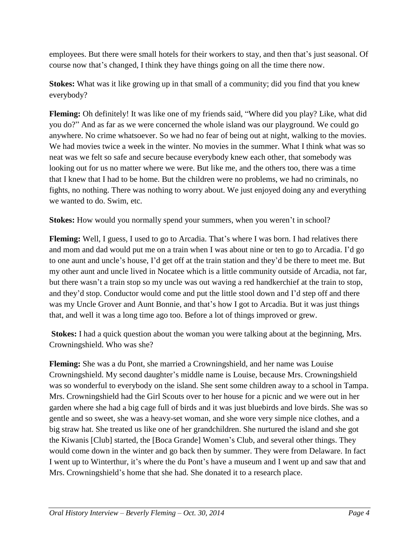employees. But there were small hotels for their workers to stay, and then that's just seasonal. Of course now that's changed, I think they have things going on all the time there now.

**Stokes:** What was it like growing up in that small of a community; did you find that you knew everybody?

**Fleming:** Oh definitely! It was like one of my friends said, "Where did you play? Like, what did you do?" And as far as we were concerned the whole island was our playground. We could go anywhere. No crime whatsoever. So we had no fear of being out at night, walking to the movies. We had movies twice a week in the winter. No movies in the summer. What I think what was so neat was we felt so safe and secure because everybody knew each other, that somebody was looking out for us no matter where we were. But like me, and the others too, there was a time that I knew that I had to be home. But the children were no problems, we had no criminals, no fights, no nothing. There was nothing to worry about. We just enjoyed doing any and everything we wanted to do. Swim, etc.

**Stokes:** How would you normally spend your summers, when you weren't in school?

**Fleming:** Well, I guess, I used to go to Arcadia. That's where I was born. I had relatives there and mom and dad would put me on a train when I was about nine or ten to go to Arcadia. I'd go to one aunt and uncle's house, I'd get off at the train station and they'd be there to meet me. But my other aunt and uncle lived in Nocatee which is a little community outside of Arcadia, not far, but there wasn't a train stop so my uncle was out waving a red handkerchief at the train to stop, and they'd stop. Conductor would come and put the little stool down and I'd step off and there was my Uncle Grover and Aunt Bonnie, and that's how I got to Arcadia. But it was just things that, and well it was a long time ago too. Before a lot of things improved or grew.

**Stokes:** I had a quick question about the woman you were talking about at the beginning, Mrs. Crowningshield. Who was she?

**Fleming:** She was a du Pont, she married a Crowningshield, and her name was Louise Crowningshield. My second daughter's middle name is Louise, because Mrs. Crowningshield was so wonderful to everybody on the island. She sent some children away to a school in Tampa. Mrs. Crowningshield had the Girl Scouts over to her house for a picnic and we were out in her garden where she had a big cage full of birds and it was just bluebirds and love birds. She was so gentle and so sweet, she was a heavy-set woman, and she wore very simple nice clothes, and a big straw hat. She treated us like one of her grandchildren. She nurtured the island and she got the Kiwanis [Club] started, the [Boca Grande] Women's Club, and several other things. They would come down in the winter and go back then by summer. They were from Delaware. In fact I went up to Winterthur, it's where the du Pont's have a museum and I went up and saw that and Mrs. Crowningshield's home that she had. She donated it to a research place.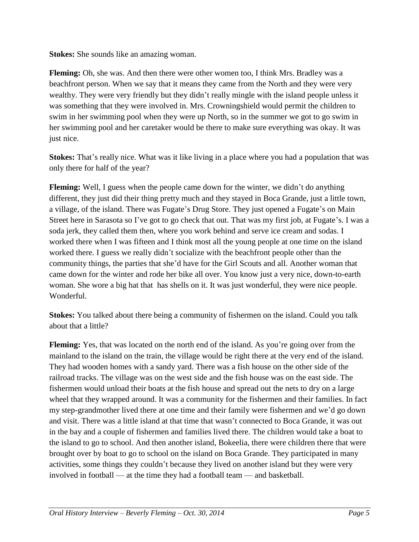**Stokes:** She sounds like an amazing woman.

**Fleming:** Oh, she was. And then there were other women too, I think Mrs. Bradley was a beachfront person. When we say that it means they came from the North and they were very wealthy. They were very friendly but they didn't really mingle with the island people unless it was something that they were involved in. Mrs. Crowningshield would permit the children to swim in her swimming pool when they were up North, so in the summer we got to go swim in her swimming pool and her caretaker would be there to make sure everything was okay. It was just nice.

**Stokes:** That's really nice. What was it like living in a place where you had a population that was only there for half of the year?

**Fleming:** Well, I guess when the people came down for the winter, we didn't do anything different, they just did their thing pretty much and they stayed in Boca Grande, just a little town, a village, of the island. There was Fugate's Drug Store. They just opened a Fugate's on Main Street here in Sarasota so I've got to go check that out. That was my first job, at Fugate's. I was a soda jerk, they called them then, where you work behind and serve ice cream and sodas. I worked there when I was fifteen and I think most all the young people at one time on the island worked there. I guess we really didn't socialize with the beachfront people other than the community things, the parties that she'd have for the Girl Scouts and all. Another woman that came down for the winter and rode her bike all over. You know just a very nice, down-to-earth woman. She wore a big hat that has shells on it. It was just wonderful, they were nice people. Wonderful.

**Stokes:** You talked about there being a community of fishermen on the island. Could you talk about that a little?

**Fleming:** Yes, that was located on the north end of the island. As you're going over from the mainland to the island on the train, the village would be right there at the very end of the island. They had wooden homes with a sandy yard. There was a fish house on the other side of the railroad tracks. The village was on the west side and the fish house was on the east side. The fishermen would unload their boats at the fish house and spread out the nets to dry on a large wheel that they wrapped around. It was a community for the fishermen and their families. In fact my step-grandmother lived there at one time and their family were fishermen and we'd go down and visit. There was a little island at that time that wasn't connected to Boca Grande, it was out in the bay and a couple of fishermen and families lived there. The children would take a boat to the island to go to school. And then another island, Bokeelia, there were children there that were brought over by boat to go to school on the island on Boca Grande. They participated in many activities, some things they couldn't because they lived on another island but they were very involved in football — at the time they had a football team — and basketball.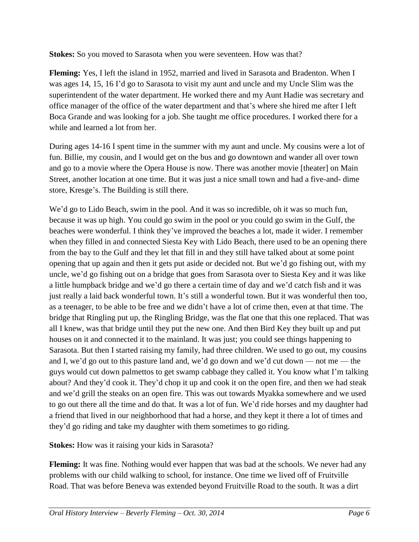**Stokes:** So you moved to Sarasota when you were seventeen. How was that?

**Fleming:** Yes, I left the island in 1952, married and lived in Sarasota and Bradenton. When I was ages 14, 15, 16 I'd go to Sarasota to visit my aunt and uncle and my Uncle Slim was the superintendent of the water department. He worked there and my Aunt Hadie was secretary and office manager of the office of the water department and that's where she hired me after I left Boca Grande and was looking for a job. She taught me office procedures. I worked there for a while and learned a lot from her.

During ages 14-16 I spent time in the summer with my aunt and uncle. My cousins were a lot of fun. Billie, my cousin, and I would get on the bus and go downtown and wander all over town and go to a movie where the Opera House is now. There was another movie [theater] on Main Street, another location at one time. But it was just a nice small town and had a five-and- dime store, Kresge's. The Building is still there.

We'd go to Lido Beach, swim in the pool. And it was so incredible, oh it was so much fun, because it was up high. You could go swim in the pool or you could go swim in the Gulf, the beaches were wonderful. I think they've improved the beaches a lot, made it wider. I remember when they filled in and connected Siesta Key with Lido Beach, there used to be an opening there from the bay to the Gulf and they let that fill in and they still have talked about at some point opening that up again and then it gets put aside or decided not. But we'd go fishing out, with my uncle, we'd go fishing out on a bridge that goes from Sarasota over to Siesta Key and it was like a little humpback bridge and we'd go there a certain time of day and we'd catch fish and it was just really a laid back wonderful town. It's still a wonderful town. But it was wonderful then too, as a teenager, to be able to be free and we didn't have a lot of crime then, even at that time. The bridge that Ringling put up, the Ringling Bridge, was the flat one that this one replaced. That was all I knew, was that bridge until they put the new one. And then Bird Key they built up and put houses on it and connected it to the mainland. It was just; you could see things happening to Sarasota. But then I started raising my family, had three children. We used to go out, my cousins and I, we'd go out to this pasture land and, we'd go down and we'd cut down — not me — the guys would cut down palmettos to get swamp cabbage they called it. You know what I'm talking about? And they'd cook it. They'd chop it up and cook it on the open fire, and then we had steak and we'd grill the steaks on an open fire. This was out towards Myakka somewhere and we used to go out there all the time and do that. It was a lot of fun. We'd ride horses and my daughter had a friend that lived in our neighborhood that had a horse, and they kept it there a lot of times and they'd go riding and take my daughter with them sometimes to go riding.

**Stokes:** How was it raising your kids in Sarasota?

**Fleming:** It was fine. Nothing would ever happen that was bad at the schools. We never had any problems with our child walking to school, for instance. One time we lived off of Fruitville Road. That was before Beneva was extended beyond Fruitville Road to the south. It was a dirt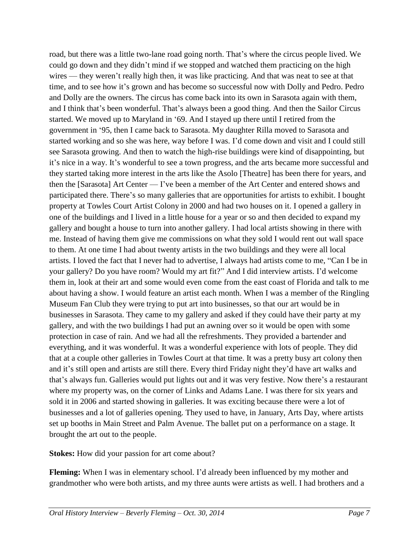road, but there was a little two-lane road going north. That's where the circus people lived. We could go down and they didn't mind if we stopped and watched them practicing on the high wires — they weren't really high then, it was like practicing. And that was neat to see at that time, and to see how it's grown and has become so successful now with Dolly and Pedro. Pedro and Dolly are the owners. The circus has come back into its own in Sarasota again with them, and I think that's been wonderful. That's always been a good thing. And then the Sailor Circus started. We moved up to Maryland in '69. And I stayed up there until I retired from the government in '95, then I came back to Sarasota. My daughter Rilla moved to Sarasota and started working and so she was here, way before I was. I'd come down and visit and I could still see Sarasota growing. And then to watch the high-rise buildings were kind of disappointing, but it's nice in a way. It's wonderful to see a town progress, and the arts became more successful and they started taking more interest in the arts like the Asolo [Theatre] has been there for years, and then the [Sarasota] Art Center — I've been a member of the Art Center and entered shows and participated there. There's so many galleries that are opportunities for artists to exhibit. I bought property at Towles Court Artist Colony in 2000 and had two houses on it. I opened a gallery in one of the buildings and I lived in a little house for a year or so and then decided to expand my gallery and bought a house to turn into another gallery. I had local artists showing in there with me. Instead of having them give me commissions on what they sold I would rent out wall space to them. At one time I had about twenty artists in the two buildings and they were all local artists. I loved the fact that I never had to advertise, I always had artists come to me, "Can I be in your gallery? Do you have room? Would my art fit?" And I did interview artists. I'd welcome them in, look at their art and some would even come from the east coast of Florida and talk to me about having a show. I would feature an artist each month. When I was a member of the Ringling Museum Fan Club they were trying to put art into businesses, so that our art would be in businesses in Sarasota. They came to my gallery and asked if they could have their party at my gallery, and with the two buildings I had put an awning over so it would be open with some protection in case of rain. And we had all the refreshments. They provided a bartender and everything, and it was wonderful. It was a wonderful experience with lots of people. They did that at a couple other galleries in Towles Court at that time. It was a pretty busy art colony then and it's still open and artists are still there. Every third Friday night they'd have art walks and that's always fun. Galleries would put lights out and it was very festive. Now there's a restaurant where my property was, on the corner of Links and Adams Lane. I was there for six years and sold it in 2006 and started showing in galleries. It was exciting because there were a lot of businesses and a lot of galleries opening. They used to have, in January, Arts Day, where artists set up booths in Main Street and Palm Avenue. The ballet put on a performance on a stage. It brought the art out to the people.

**Stokes:** How did your passion for art come about?

**Fleming:** When I was in elementary school. I'd already been influenced by my mother and grandmother who were both artists, and my three aunts were artists as well. I had brothers and a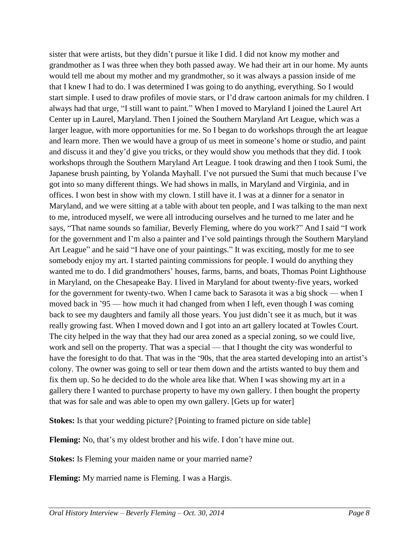sister that were artists, but they didn't pursue it like I did. I did not know my mother and grandmother as I was three when they both passed away. We had their art in our home. My aunts would tell me about my mother and my grandmother, so it was always a passion inside of me that I knew I had to do. I was determined I was going to do anything, everything. So I would start simple. I used to draw profiles of movie stars, or I'd draw cartoon animals for my children. I always had that urge, "I still want to paint." When I moved to Maryland I joined the Laurel Art Center up in Laurel, Maryland. Then I joined the Southern Maryland Art League, which was a larger league, with more opportunities for me. So I began to do workshops through the art league and learn more. Then we would have a group of us meet in someone's home or studio, and paint and discuss it and they'd give you tricks, or they would show you methods that they did. I took workshops through the Southern Maryland Art League. I took drawing and then I took Sumi, the Japanese brush painting, by Yolanda Mayhall. I've not pursued the Sumi that much because I've got into so many different things. We had shows in malls, in Maryland and Virginia, and in offices. I won best in show with my clown. I still have it. I was at a dinner for a senator in Maryland, and we were sitting at a table with about ten people, and I was talking to the man next to me, introduced myself, we were all introducing ourselves and he turned to me later and he says, "That name sounds so familiar, Beverly Fleming, where do you work?" And I said "I work for the government and I'm also a painter and I've sold paintings through the Southern Maryland Art League" and he said "I have one of your paintings." It was exciting, mostly for me to see somebody enjoy my art. I started painting commissions for people. I would do anything they wanted me to do. I did grandmothers' houses, farms, barns, and boats, Thomas Point Lighthouse in Maryland, on the Chesapeake Bay. I lived in Maryland for about twenty-five years, worked for the government for twenty-two. When I came back to Sarasota it was a big shock — when I moved back in '95 — how much it had changed from when I left, even though I was coming back to see my daughters and family all those years. You just didn't see it as much, but it was really growing fast. When I moved down and I got into an art gallery located at Towles Court. The city helped in the way that they had our area zoned as a special zoning, so we could live, work and sell on the property. That was a special — that I thought the city was wonderful to have the foresight to do that. That was in the '90s, that the area started developing into an artist's colony. The owner was going to sell or tear them down and the artists wanted to buy them and fix them up. So he decided to do the whole area like that. When I was showing my art in a gallery there I wanted to purchase property to have my own gallery. I then bought the property that was for sale and was able to open my own gallery. [Gets up for water]

**Stokes:** Is that your wedding picture? [Pointing to framed picture on side table]

**Fleming:** No, that's my oldest brother and his wife. I don't have mine out.

**Stokes:** Is Fleming your maiden name or your married name?

**Fleming:** My married name is Fleming. I was a Hargis.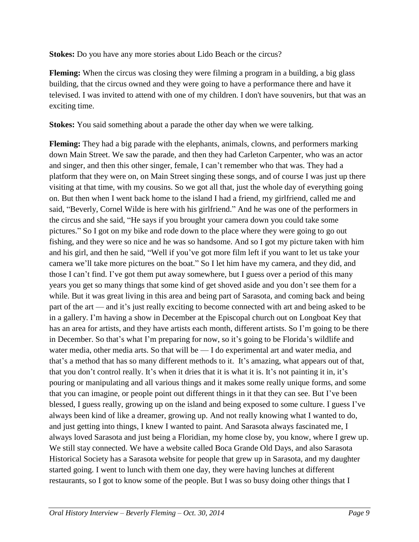**Stokes:** Do you have any more stories about Lido Beach or the circus?

**Fleming:** When the circus was closing they were filming a program in a building, a big glass building, that the circus owned and they were going to have a performance there and have it televised. I was invited to attend with one of my children. I don't have souvenirs, but that was an exciting time.

**Stokes:** You said something about a parade the other day when we were talking.

**Fleming:** They had a big parade with the elephants, animals, clowns, and performers marking down Main Street. We saw the parade, and then they had Carleton Carpenter, who was an actor and singer, and then this other singer, female, I can't remember who that was. They had a platform that they were on, on Main Street singing these songs, and of course I was just up there visiting at that time, with my cousins. So we got all that, just the whole day of everything going on. But then when I went back home to the island I had a friend, my girlfriend, called me and said, "Beverly, Cornel Wilde is here with his girlfriend." And he was one of the performers in the circus and she said, "He says if you brought your camera down you could take some pictures." So I got on my bike and rode down to the place where they were going to go out fishing, and they were so nice and he was so handsome. And so I got my picture taken with him and his girl, and then he said, "Well if you've got more film left if you want to let us take your camera we'll take more pictures on the boat." So I let him have my camera, and they did, and those I can't find. I've got them put away somewhere, but I guess over a period of this many years you get so many things that some kind of get shoved aside and you don't see them for a while. But it was great living in this area and being part of Sarasota, and coming back and being part of the art — and it's just really exciting to become connected with art and being asked to be in a gallery. I'm having a show in December at the Episcopal church out on Longboat Key that has an area for artists, and they have artists each month, different artists. So I'm going to be there in December. So that's what I'm preparing for now, so it's going to be Florida's wildlife and water media, other media arts. So that will be — I do experimental art and water media, and that's a method that has so many different methods to it. It's amazing, what appears out of that, that you don't control really. It's when it dries that it is what it is. It's not painting it in, it's pouring or manipulating and all various things and it makes some really unique forms, and some that you can imagine, or people point out different things in it that they can see. But I've been blessed, I guess really, growing up on the island and being exposed to some culture. I guess I've always been kind of like a dreamer, growing up. And not really knowing what I wanted to do, and just getting into things, I knew I wanted to paint. And Sarasota always fascinated me, I always loved Sarasota and just being a Floridian, my home close by, you know, where I grew up. We still stay connected. We have a website called Boca Grande Old Days, and also Sarasota Historical Society has a Sarasota website for people that grew up in Sarasota, and my daughter started going. I went to lunch with them one day, they were having lunches at different restaurants, so I got to know some of the people. But I was so busy doing other things that I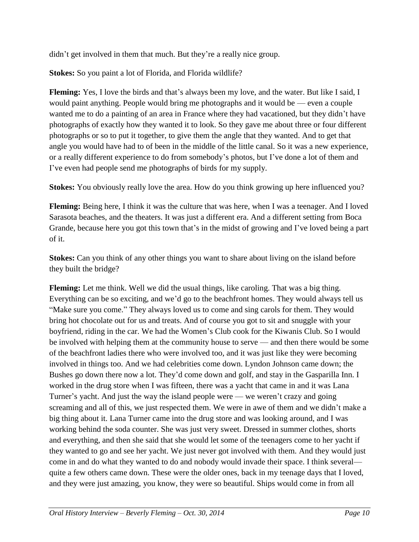didn't get involved in them that much. But they're a really nice group.

**Stokes:** So you paint a lot of Florida, and Florida wildlife?

**Fleming:** Yes, I love the birds and that's always been my love, and the water. But like I said, I would paint anything. People would bring me photographs and it would be — even a couple wanted me to do a painting of an area in France where they had vacationed, but they didn't have photographs of exactly how they wanted it to look. So they gave me about three or four different photographs or so to put it together, to give them the angle that they wanted. And to get that angle you would have had to of been in the middle of the little canal. So it was a new experience, or a really different experience to do from somebody's photos, but I've done a lot of them and I've even had people send me photographs of birds for my supply.

**Stokes:** You obviously really love the area. How do you think growing up here influenced you?

**Fleming:** Being here, I think it was the culture that was here, when I was a teenager. And I loved Sarasota beaches, and the theaters. It was just a different era. And a different setting from Boca Grande, because here you got this town that's in the midst of growing and I've loved being a part of it.

**Stokes:** Can you think of any other things you want to share about living on the island before they built the bridge?

**Fleming:** Let me think. Well we did the usual things, like caroling. That was a big thing. Everything can be so exciting, and we'd go to the beachfront homes. They would always tell us "Make sure you come." They always loved us to come and sing carols for them. They would bring hot chocolate out for us and treats. And of course you got to sit and snuggle with your boyfriend, riding in the car. We had the Women's Club cook for the Kiwanis Club. So I would be involved with helping them at the community house to serve — and then there would be some of the beachfront ladies there who were involved too, and it was just like they were becoming involved in things too. And we had celebrities come down. Lyndon Johnson came down; the Bushes go down there now a lot. They'd come down and golf, and stay in the Gasparilla Inn. I worked in the drug store when I was fifteen, there was a yacht that came in and it was Lana Turner's yacht. And just the way the island people were — we weren't crazy and going screaming and all of this, we just respected them. We were in awe of them and we didn't make a big thing about it. Lana Turner came into the drug store and was looking around, and I was working behind the soda counter. She was just very sweet. Dressed in summer clothes, shorts and everything, and then she said that she would let some of the teenagers come to her yacht if they wanted to go and see her yacht. We just never got involved with them. And they would just come in and do what they wanted to do and nobody would invade their space. I think several quite a few others came down. These were the older ones, back in my teenage days that I loved, and they were just amazing, you know, they were so beautiful. Ships would come in from all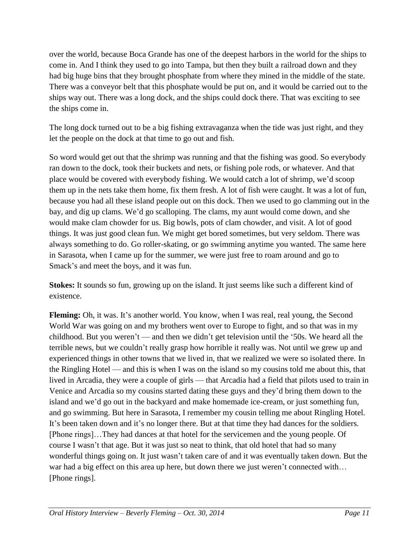over the world, because Boca Grande has one of the deepest harbors in the world for the ships to come in. And I think they used to go into Tampa, but then they built a railroad down and they had big huge bins that they brought phosphate from where they mined in the middle of the state. There was a conveyor belt that this phosphate would be put on, and it would be carried out to the ships way out. There was a long dock, and the ships could dock there. That was exciting to see the ships come in.

The long dock turned out to be a big fishing extravaganza when the tide was just right, and they let the people on the dock at that time to go out and fish.

So word would get out that the shrimp was running and that the fishing was good. So everybody ran down to the dock, took their buckets and nets, or fishing pole rods, or whatever. And that place would be covered with everybody fishing. We would catch a lot of shrimp, we'd scoop them up in the nets take them home, fix them fresh. A lot of fish were caught. It was a lot of fun, because you had all these island people out on this dock. Then we used to go clamming out in the bay, and dig up clams. We'd go scalloping. The clams, my aunt would come down, and she would make clam chowder for us. Big bowls, pots of clam chowder, and visit. A lot of good things. It was just good clean fun. We might get bored sometimes, but very seldom. There was always something to do. Go roller-skating, or go swimming anytime you wanted. The same here in Sarasota, when I came up for the summer, we were just free to roam around and go to Smack's and meet the boys, and it was fun.

**Stokes:** It sounds so fun, growing up on the island. It just seems like such a different kind of existence.

Fleming: Oh, it was. It's another world. You know, when I was real, real young, the Second World War was going on and my brothers went over to Europe to fight, and so that was in my childhood. But you weren't — and then we didn't get television until the '50s. We heard all the terrible news, but we couldn't really grasp how horrible it really was. Not until we grew up and experienced things in other towns that we lived in, that we realized we were so isolated there. In the Ringling Hotel — and this is when I was on the island so my cousins told me about this, that lived in Arcadia, they were a couple of girls — that Arcadia had a field that pilots used to train in Venice and Arcadia so my cousins started dating these guys and they'd bring them down to the island and we'd go out in the backyard and make homemade ice-cream, or just something fun, and go swimming. But here in Sarasota, I remember my cousin telling me about Ringling Hotel. It's been taken down and it's no longer there. But at that time they had dances for the soldiers. [Phone rings]…They had dances at that hotel for the servicemen and the young people. Of course I wasn't that age. But it was just so neat to think, that old hotel that had so many wonderful things going on. It just wasn't taken care of and it was eventually taken down. But the war had a big effect on this area up here, but down there we just weren't connected with… [Phone rings].